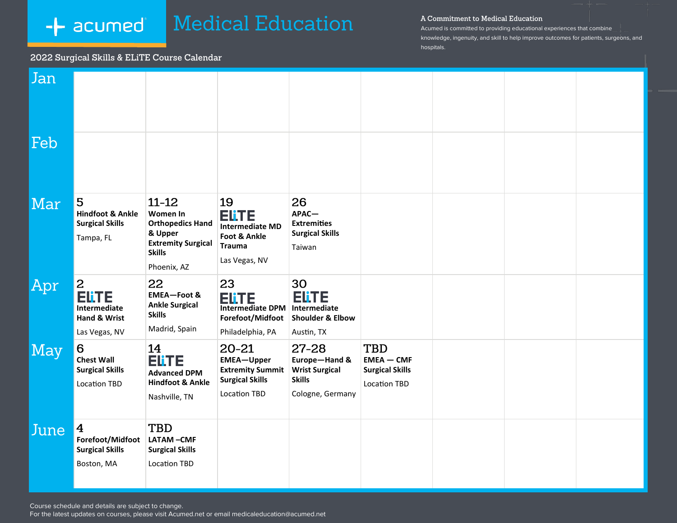# **Medical Education** -**+** acumed

#### A Commitment to Medical Education

Acumed is committed to providing educational experiences that combine knowledge, ingenuity, and skill to help improve outcomes for patients, surgeons, and hospitals.

## 2022 Surgical Skills & ELiTE Course Calendar

| Jan  |                                                                                     |                                                                                                                          |                                                                                                                |                                                                                          |                                                                      |  |  |
|------|-------------------------------------------------------------------------------------|--------------------------------------------------------------------------------------------------------------------------|----------------------------------------------------------------------------------------------------------------|------------------------------------------------------------------------------------------|----------------------------------------------------------------------|--|--|
| Feb  |                                                                                     |                                                                                                                          |                                                                                                                |                                                                                          |                                                                      |  |  |
| Mar  | 5<br><b>Hindfoot &amp; Ankle</b><br><b>Surgical Skills</b><br>Tampa, FL             | $11 - 12$<br>Women In<br><b>Orthopedics Hand</b><br>& Upper<br><b>Extremity Surgical</b><br><b>Skills</b><br>Phoenix, AZ | 19<br>Elite<br><b>Intermediate MD</b><br>Foot & Ankle<br><b>Trauma</b><br>Las Vegas, NV                        | 26<br>APAC-<br><b>Extremities</b><br><b>Surgical Skills</b><br>Taiwan                    |                                                                      |  |  |
| Apr  | 2<br><b>ELITE</b><br>Intermediate<br>Hand & Wrist<br>Las Vegas, NV                  | 22<br><b>EMEA-Foot &amp;</b><br><b>Ankle Surgical</b><br><b>Skills</b><br>Madrid, Spain                                  | 23<br><b>Elite</b><br>Intermediate DPM   Intermediate<br>Forefoot/Midfoot Shoulder & Elbow<br>Philadelphia, PA | 30<br><b>ELITE</b><br>Austin, TX                                                         |                                                                      |  |  |
| May  | 6<br><b>Chest Wall</b><br><b>Surgical Skills</b><br><b>Location TBD</b>             | 14<br><b>Elite</b><br><b>Advanced DPM</b><br><b>Hindfoot &amp; Ankle</b><br>Nashville, TN                                | $20 - 21$<br><b>EMEA-Upper</b><br><b>Extremity Summit</b><br><b>Surgical Skills</b><br><b>Location TBD</b>     | $27 - 28$<br>Europe-Hand &<br><b>Wrist Surgical</b><br><b>Skills</b><br>Cologne, Germany | TBD<br>$EMEA - CMF$<br><b>Surgical Skills</b><br><b>Location TBD</b> |  |  |
| June | $\overline{\mathbf{4}}$<br>Forefoot/Midfoot<br><b>Surgical Skills</b><br>Boston, MA | <b>TBD</b><br>LATAM-CMF<br><b>Surgical Skills</b><br><b>Location TBD</b>                                                 |                                                                                                                |                                                                                          |                                                                      |  |  |

Course schedule and details are subject to change.

For the latest updates on courses, please visit Acumed.net or email medicaleducation@acumed.net